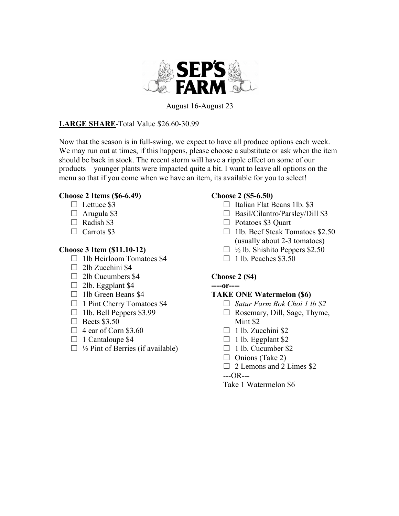

August 16-August 23

# **LARGE SHARE**-Total Value \$26.60-30.99

Now that the season is in full-swing, we expect to have all produce options each week. We may run out at times, if this happens, please choose a substitute or ask when the item should be back in stock. The recent storm will have a ripple effect on some of our products—younger plants were impacted quite a bit. I want to leave all options on the menu so that if you come when we have an item, its available for you to select!

#### **Choose 2 Items (\$6-6.49)**

- $\Box$  Lettuce \$3
- $\Box$  Arugula \$3
- $\Box$  Radish \$3
- $\Box$  Carrots \$3

#### **Choose 3 Item (\$11.10-12)**

- $\Box$  1lb Heirloom Tomatoes \$4
- $\Box$  2lb Zucchini \$4
- $\Box$  2lb Cucumbers \$4
- $\Box$  2lb. Eggplant \$4
- $\Box$  1lb Green Beans \$4
- $\Box$  1 Pint Cherry Tomatoes \$4
- $\Box$  1lb. Bell Peppers \$3.99
- $\Box$  Beets \$3.50
- $\Box$  4 ear of Corn \$3.60
- $\Box$  1 Cantaloupe \$4
- $\Box$  ½ Pint of Berries (if available)

# **Choose 2 (\$5-6.50)**

- $\Box$  Italian Flat Beans 11b. \$3
- $\Box$  Basil/Cilantro/Parsley/Dill \$3
- $\Box$  Potatoes \$3 Quart
- $\Box$  1lb. Beef Steak Tomatoes \$2.50 (usually about 2-3 tomatoes)
- $\Box$  ½ lb. Shishito Peppers \$2.50
- $\Box$  1 lb. Peaches \$3.50

#### **Choose 2 (\$4)**

**----or----**

#### **TAKE ONE Watermelon (\$6)**

- £ *Satur Farm Bok Choi 1 lb \$2*
- $\Box$  Rosemary, Dill, Sage, Thyme, Mint \$2
- $\Box$  1 lb. Zucchini \$2
- $\Box$  1 lb. Eggplant \$2
- $\Box$  1 lb. Cucumber \$2
- $\Box$  Onions (Take 2)
- $\Box$  2 Lemons and 2 Limes \$2

---OR---

Take 1 Watermelon \$6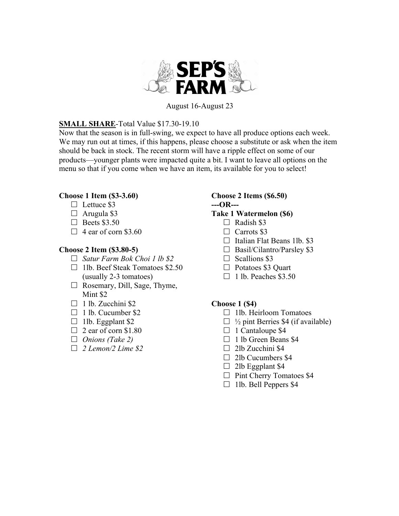

August 16-August 23

# **SMALL SHARE**-Total Value \$17.30-19.10

Now that the season is in full-swing, we expect to have all produce options each week. We may run out at times, if this happens, please choose a substitute or ask when the item should be back in stock. The recent storm will have a ripple effect on some of our products—younger plants were impacted quite a bit. I want to leave all options on the menu so that if you come when we have an item, its available for you to select!

#### **Choose 1 Item (\$3-3.60)**

- $\Box$  Lettuce \$3
- $\Box$  Arugula \$3
- $\Box$  Beets \$3.50
- $\Box$  4 ear of corn \$3.60

#### **Choose 2 Item (\$3.80-5)**

- £ *Satur Farm Bok Choi 1 lb \$2*
- $\Box$  1lb. Beef Steak Tomatoes \$2.50 (usually 2-3 tomatoes)
- $\Box$  Rosemary, Dill, Sage, Thyme, Mint \$2
- $\Box$  1 lb. Zucchini \$2
- $\Box$  1 lb. Cucumber \$2
- $\Box$  1lb. Eggplant \$2
- $\Box$  2 ear of corn \$1.80
- £ *Onions (Take 2)*
- £ *2 Lemon/2 Lime \$2*

# **Choose 2 Items (\$6.50) ---OR---**

## **Take 1 Watermelon (\$6)**

- $\Box$  Radish \$3
- $\Box$  Carrots \$3
- $\Box$  Italian Flat Beans 11b. \$3
- $\Box$  Basil/Cilantro/Parsley \$3
- $\Box$  Scallions \$3
- $\Box$  Potatoes \$3 Quart
- $\Box$  1 lb. Peaches \$3.50

#### **Choose 1 (\$4)**

- $\square$  1lb. Heirloom Tomatoes
- $\Box$  ½ pint Berries \$4 (if available)
- $\Box$  1 Cantaloupe \$4
- $\Box$  1 lb Green Beans \$4
- $\Box$  2lb Zucchini \$4
- $\Box$  2lb Cucumbers \$4
- $\Box$  2lb Eggplant \$4
- $\Box$  Pint Cherry Tomatoes \$4
- $\Box$  1lb. Bell Peppers \$4